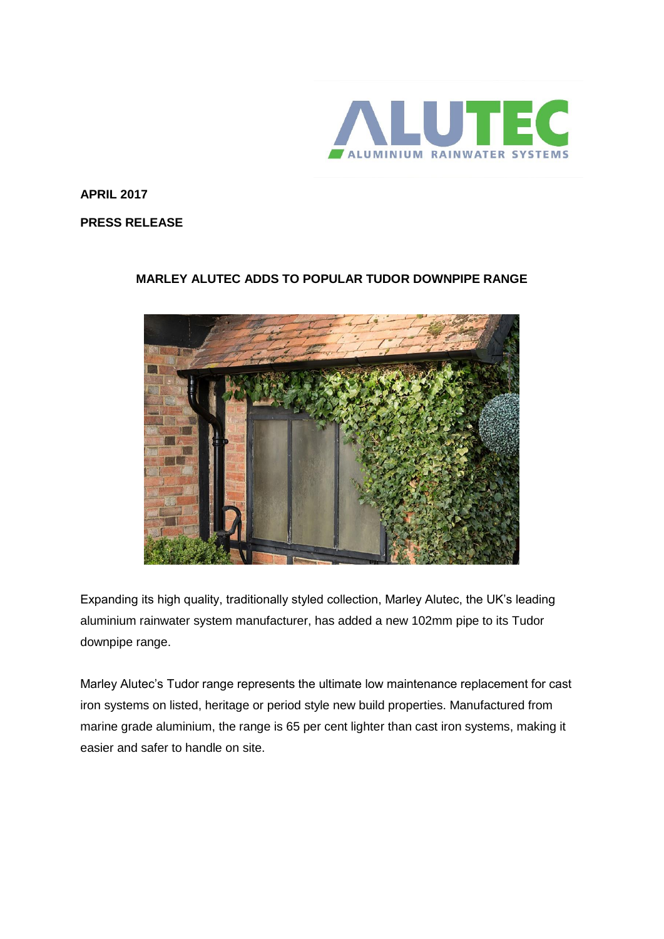

**APRIL 2017**

**PRESS RELEASE**

## **MARLEY ALUTEC ADDS TO POPULAR TUDOR DOWNPIPE RANGE**



Expanding its high quality, traditionally styled collection, Marley Alutec, the UK's leading aluminium rainwater system manufacturer, has added a new 102mm pipe to its Tudor downpipe range.

Marley Alutec's Tudor range represents the ultimate low maintenance replacement for cast iron systems on listed, heritage or period style new build properties. Manufactured from marine grade aluminium, the range is 65 per cent lighter than cast iron systems, making it easier and safer to handle on site.